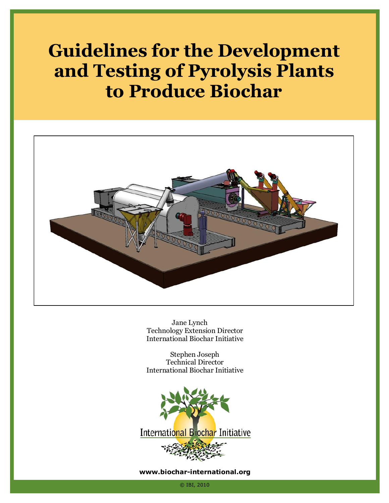# **Guidelines for the Development and Testing of Pyrolysis Plants to Produce Biochar**



Jane Lynch Technology Extension Director International Biochar Initiative

Stephen Joseph Technical Director International Biochar Initiative



#### **www.biochar-international.org**

© IBI, 2010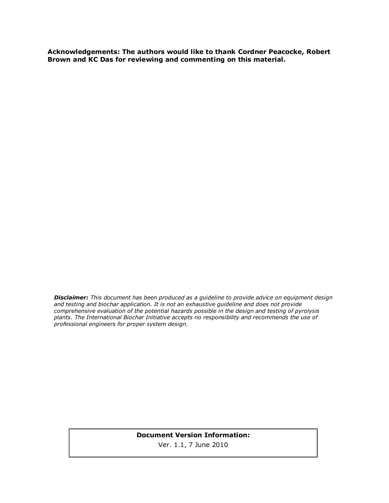**Acknowledgements: The authors would like to thank Cordner Peacocke, Robert Brown and KC Das for reviewing and commenting on this material.**

*Disclaimer: This document has been produced as a guideline to provide advice on equipment design and testing and biochar application. It is not an exhaustive guideline and does not provide comprehensive evaluation of the potential hazards possible in the design and testing of pyrolysis plants. The International Biochar Initiative accepts no responsibility and recommends the use of professional engineers for proper system design.*

#### **Document Version Information:**  Ver. 1.1, 7 June 2010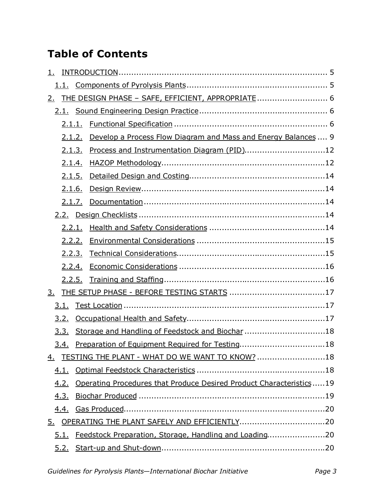# **Table of Contents**

| 1.        |             |        |                                                                     |  |
|-----------|-------------|--------|---------------------------------------------------------------------|--|
|           |             |        |                                                                     |  |
| <u>2.</u> |             |        | THE DESIGN PHASE - SAFE, EFFICIENT, APPROPRIATE  6                  |  |
|           |             |        |                                                                     |  |
|           |             |        |                                                                     |  |
|           | 2.1.2.      |        | Develop a Process Flow Diagram and Mass and Energy Balances  9      |  |
|           | 2.1.3.      |        | Process and Instrumentation Diagram (PID)12                         |  |
|           | 2.1.4.      |        |                                                                     |  |
|           | 2.1.5.      |        |                                                                     |  |
|           | 2.1.6.      |        |                                                                     |  |
|           |             | 2.1.7. |                                                                     |  |
|           |             |        |                                                                     |  |
|           |             |        |                                                                     |  |
|           | 2.2.2.      |        |                                                                     |  |
|           |             | 2.2.3. |                                                                     |  |
|           | 2.2.4.      |        |                                                                     |  |
|           |             | 2.2.5. |                                                                     |  |
| 3.        |             |        |                                                                     |  |
|           | 3.1.        |        |                                                                     |  |
|           | 3.2.        |        |                                                                     |  |
|           | 3.3.        |        | Storage and Handling of Feedstock and Biochar 18                    |  |
|           | 3.4.        |        | Preparation of Equipment Required for Testing18                     |  |
|           |             |        | 4. TESTING THE PLANT - WHAT DO WE WANT TO KNOW? 18                  |  |
|           | <u>4.1.</u> |        |                                                                     |  |
|           | <u>4.2.</u> |        | Operating Procedures that Produce Desired Product Characteristics19 |  |
|           | 4.3.        |        |                                                                     |  |
|           |             |        |                                                                     |  |
|           |             |        |                                                                     |  |
|           | 5.1.        |        | Feedstock Preparation, Storage, Handling and Loading20              |  |
|           |             |        |                                                                     |  |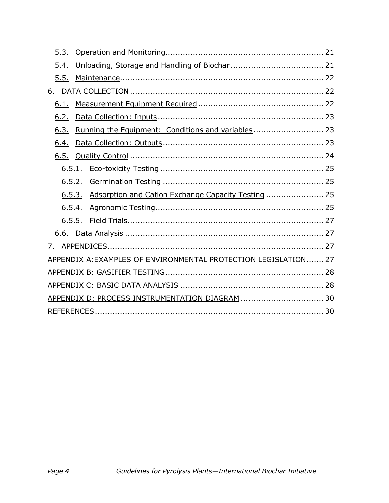| 5.3.      |                                                                 |  |
|-----------|-----------------------------------------------------------------|--|
| 5.4.      |                                                                 |  |
| 5.5.      |                                                                 |  |
| <u>6.</u> |                                                                 |  |
| 6.1.      |                                                                 |  |
| 6.2.      |                                                                 |  |
| 6.3.      | Running the Equipment: Conditions and variables 23              |  |
| 6.4.      |                                                                 |  |
|           |                                                                 |  |
|           |                                                                 |  |
|           | 6.5.2.                                                          |  |
|           | 6.5.3. Adsorption and Cation Exchange Capacity Testing  25      |  |
|           |                                                                 |  |
|           |                                                                 |  |
|           |                                                                 |  |
| 7.        |                                                                 |  |
|           | APPENDIX A: EXAMPLES OF ENVIRONMENTAL PROTECTION LEGISLATION 27 |  |
|           |                                                                 |  |
|           |                                                                 |  |
|           | APPENDIX D: PROCESS INSTRUMENTATION DIAGRAM  30                 |  |
|           |                                                                 |  |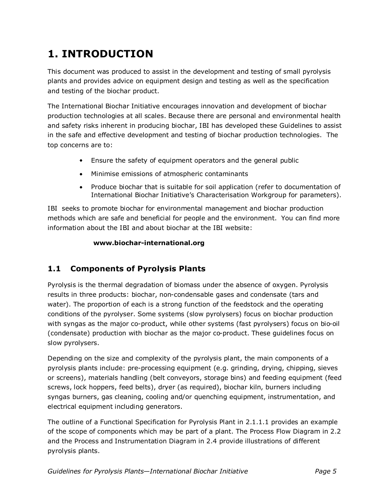# **1. INTRODUCTION**

This document was produced to assist in the development and testing of small pyrolysis plants and provides advice on equipment design and testing as well as the specification and testing of the biochar product.

The International Biochar Initiative encourages innovation and development of biochar production technologies at all scales. Because there are personal and environmental health and safety risks inherent in producing biochar, IBI has developed these Guidelines to assist in the safe and effective development and testing of biochar production technologies. The top concerns are to:

- Ensure the safety of equipment operators and the general public
- Minimise emissions of atmospheric contaminants
- Produce biochar that is suitable for soil application (refer to documentation of International Biochar Initiative's Characterisation Workgroup for parameters).

IBI seeks to promote biochar for environmental management and biochar production methods which are safe and beneficial for people and the environment. You can find more information about the IBI and about biochar at the IBI website:

#### **www.biochar-international.org**

# **1.1 Components of Pyrolysis Plants**

Pyrolysis is the thermal degradation of biomass under the absence of oxygen. Pyrolysis results in three products: biochar, non-condensable gases and condensate (tars and water). The proportion of each is a strong function of the feedstock and the operating conditions of the pyrolyser. Some systems (slow pyrolysers) focus on biochar production with syngas as the major co-product, while other systems (fast pyrolysers) focus on bio-oil (condensate) production with biochar as the major co-product. These guidelines focus on slow pyrolysers.

Depending on the size and complexity of the pyrolysis plant, the main components of a pyrolysis plants include: pre-processing equipment (e.g. grinding, drying, chipping, sieves or screens), materials handling (belt conveyors, storage bins) and feeding equipment (feed screws, lock hoppers, feed belts), dryer (as required), biochar kiln, burners including syngas burners, gas cleaning, cooling and/or quenching equipment, instrumentation, and electrical equipment including generators.

The outline of a Functional Specification for Pyrolysis Plant in 2.1.1.1 provides an example of the scope of components which may be part of a plant. The Process Flow Diagram in 2.2 and the Process and Instrumentation Diagram in 2.4 provide illustrations of different pyrolysis plants.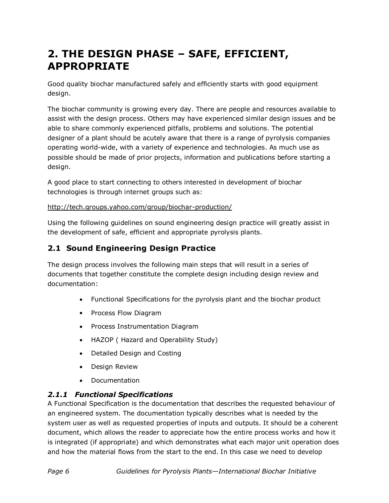# **2. THE DESIGN PHASE – SAFE, EFFICIENT, APPROPRIATE**

Good quality biochar manufactured safely and efficiently starts with good equipment design.

The biochar community is growing every day. There are people and resources available to assist with the design process. Others may have experienced similar design issues and be able to share commonly experienced pitfalls, problems and solutions. The potential designer of a plant should be acutely aware that there is a range of pyrolysis companies operating world-wide, with a variety of experience and technologies. As much use as possible should be made of prior projects, information and publications before starting a design.

A good place to start connecting to others interested in development of biochar technologies is through internet groups such as:

#### http://tech.groups.yahoo.com/group/biochar-production/

Using the following guidelines on sound engineering design practice will greatly assist in the development of safe, efficient and appropriate pyrolysis plants.

# **2.1 Sound Engineering Design Practice**

The design process involves the following main steps that will result in a series of documents that together constitute the complete design including design review and documentation:

- Functional Specifications for the pyrolysis plant and the biochar product
- Process Flow Diagram
- Process Instrumentation Diagram
- HAZOP ( Hazard and Operability Study)
- $\bullet$  . Detailed Design and Costing
- $\bullet$  . Design Review
- Documentation

# *2.1.1 Functional Specifications*

A Functional Specification is the documentation that describes the requested behaviour of an engineered system. The documentation typically describes what is needed by the system user as well as requested properties of inputs and outputs. It should be a coherent document, which allows the reader to appreciate how the entire process works and how it is integrated (if appropriate) and which demonstrates what each major unit operation does and how the material flows from the start to the end. In this case we need to develop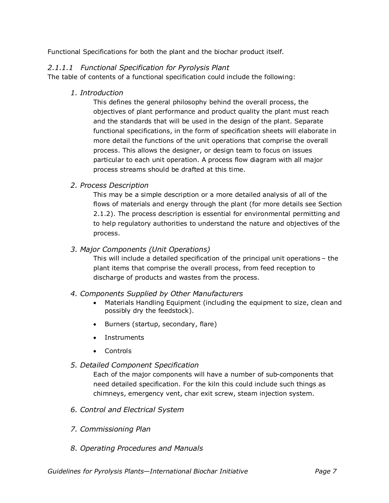Functional Specifications for both the plant and the biochar product itself.

#### *2.1.1.1 Functional Specification for Pyrolysis Plant*

The table of contents of a functional specification could include the following:

*1. Introduction*

This defines the general philosophy behind the overall process, the objectives of plant performance and product quality the plant must reach and the standards that will be used in the design of the plant. Separate functional specifications, in the form of specification sheets will elaborate in more detail the functions of the unit operations that comprise the overall process. This allows the designer, or design team to focus on issues particular to each unit operation. A process flow diagram with all major process streams should be drafted at this time.

#### *2. Process Description*

This may be a simple description or a more detailed analysis of all of the flows of materials and energy through the plant (for more details see Section 2.1.2). The process description is essential for environmental permitting and to help regulatory authorities to understand the nature and objectives of the process.

#### *3. Major Components (Unit Operations)*

This will include a detailed specification of the principal unit operations – the plant items that comprise the overall process, from feed reception to discharge of products and wastes from the process.

#### *4. Components Supplied by Other Manufacturers*

- Materials Handling Equipment (including the equipment to size, clean and possibly dry the feedstock).
- Burners (startup, secondary, flare)
- Instruments
- Controls

#### *5. Detailed Component Specification*

Each of the major components will have a number of sub-components that need detailed specification. For the kiln this could include such things as chimneys, emergency vent, char exit screw, steam injection system.

- *6. Control and Electrical System*
- *7. Commissioning Plan*
- *8. Operating Procedures and Manuals*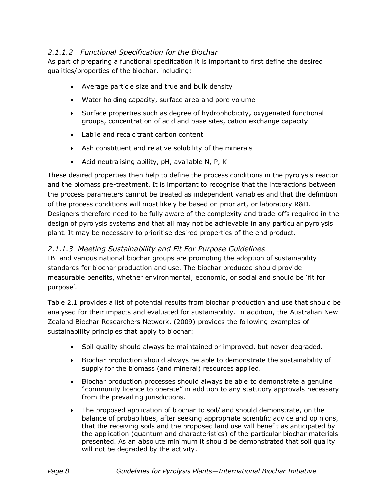# *2.1.1.2 Functional Specification for the Biochar*

As part of preparing a functional specification it is important to first define the desired qualities/properties of the biochar, including:

- Average particle size and true and bulk density
- Water holding capacity, surface area and pore volume
- Surface properties such as degree of hydrophobicity, oxygenated functional groups, concentration of acid and base sites, cation exchange capacity
- Labile and recalcitrant carbon content
- Ash constituent and relative solubility of the minerals
- Acid neutralising ability, pH, available N, P, K

These desired properties then help to define the process conditions in the pyrolysis reactor and the biomass pre-treatment. It is important to recognise that the interactions between the process parameters cannot be treated as independent variables and that the definition of the process conditions will most likely be based on prior art, or laboratory R&D. Designers therefore need to be fully aware of the complexity and trade-offs required in the design of pyrolysis systems and that all may not be achievable in any particular pyrolysis plant. It may be necessary to prioritise desired properties of the end product.

#### *2.1.1.3 Meeting Sustainability and Fit For Purpose Guidelines*

IBI and various national biochar groups are promoting the adoption of sustainability standards for biochar production and use. The biochar produced should provide measurable benefits, whether environmental, economic, or social and should be 'fit for purpose'.

Table 2.1 provides a list of potential results from biochar production and use that should be analysed for their impacts and evaluated for sustainability. In addition, the Australian New Zealand Biochar Researchers Network, (2009) provides the following examples of sustainability principles that apply to biochar:

- Soil quality should always be maintained or improved, but never degraded.
- $\bullet$ Biochar production should always be able to demonstrate the sustainability of supply for the biomass (and mineral) resources applied.
- Biochar production processes should always be able to demonstrate a genuine  $\bullet$  . "community licence to operate" in addition to any statutory approvals necessary from the prevailing jurisdictions.
- The proposed application of biochar to soil/land should demonstrate, on the balance of probabilities, after seeking appropriate scientific advice and opinions, that the receiving soils and the proposed land use will benefit as anticipated by the application (quantum and characteristics) of the particular biochar materials presented. As an absolute minimum it should be demonstrated that soil quality will not be degraded by the activity.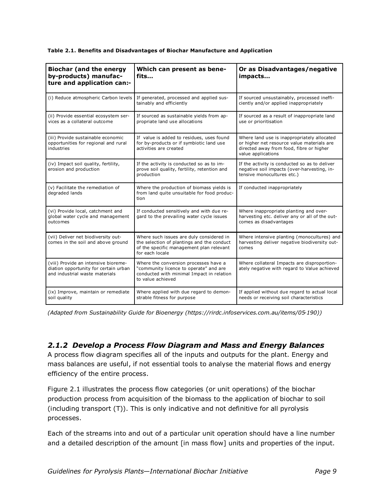| <b>Biochar (and the energy</b><br>by-products) manufac-<br>ture and application can:-                           | Which can present as bene-<br>fits                                                                                                                    | Or as Disadvantages/negative<br>impacts                                                                                                                     |  |
|-----------------------------------------------------------------------------------------------------------------|-------------------------------------------------------------------------------------------------------------------------------------------------------|-------------------------------------------------------------------------------------------------------------------------------------------------------------|--|
| (i) Reduce atmospheric Carbon levels                                                                            | If generated, processed and applied sus-<br>tainably and efficiently                                                                                  | If sourced unsustainably, processed ineffi-<br>ciently and/or applied inappropriately                                                                       |  |
| (ii) Provide essential ecosystem ser-<br>vices as a collateral outcome                                          | If sourced as sustainable yields from ap-<br>propriate land use allocations                                                                           | If sourced as a result of inappropriate land<br>use or prioritisation                                                                                       |  |
| (iii) Provide sustainable economic<br>opportunities for regional and rural<br>industries                        | If value is added to residues, uses found<br>for by-products or if symbiotic land use<br>activities are created                                       | Where land use is inappropriately allocated<br>or higher net resource value materials are<br>directed away from food, fibre or higher<br>value applications |  |
| (iv) Impact soil quality, fertility,<br>erosion and production                                                  | If the activity is conducted so as to im-<br>prove soil quality, fertility, retention and<br>production                                               | If the activity is conducted so as to deliver<br>negative soil impacts (over-harvesting, in-<br>tensive monocultures etc.)                                  |  |
| (v) Facilitate the remediation of<br>degraded lands                                                             | Where the production of biomass yields is<br>from land quite unsuitable for food produc-<br>tion                                                      | If conducted inappropriately                                                                                                                                |  |
| (vi) Provide local, catchment and<br>global water cycle and management<br>outcomes                              | If conducted sensitively and with due re-<br>gard to the prevailing water cycle issues                                                                | Where inappropriate planting and over-<br>harvesting etc. deliver any or all of the out-<br>comes as disadvantages                                          |  |
| (vii) Deliver net biodiversity out-<br>comes in the soil and above ground                                       | Where such issues are duly considered in<br>the selection of plantings and the conduct<br>of the specific management plan relevant<br>for each locale | Where intensive planting (monocultures) and<br>harvesting deliver negative biodiversity out-<br>comes                                                       |  |
| (viii) Provide an intensive bioreme-<br>diation opportunity for certain urban<br>and industrial waste materials | Where the conversion processes have a<br>"community licence to operate" and are<br>conducted with minimal Impact in relation<br>to value achieved     | Where collateral Impacts are disproportion-<br>ately negative with regard to Value achieved                                                                 |  |
| (ix) Improve, maintain or remediate<br>soil quality                                                             | Where applied with due regard to demon-<br>strable fitness for purpose                                                                                | If applied without due regard to actual local<br>needs or receiving soil characteristics                                                                    |  |

*(Adapted from Sustainability Guide for Bioenergy (https://rirdc.infoservices.com.au/items/05-190))*

#### *2.1.2 Develop a Process Flow Diagram and Mass and Energy Balances*

A process flow diagram specifies all of the inputs and outputs for the plant. Energy and mass balances are useful, if not essential tools to analyse the material flows and energy efficiency of the entire process.

Figure 2.1 illustrates the process flow categories (or unit operations) of the biochar production process from acquisition of the biomass to the application of biochar to soil (including transport (T)). This is only indicative and not definitive for all pyrolysis processes.

Each of the streams into and out of a particular unit operation should have a line number and a detailed description of the amount [in mass flow] units and properties of the input.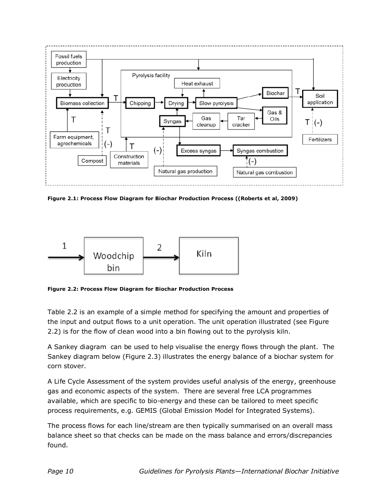

**Figure 2.1: Process Flow Diagram for Biochar Production Process ((Roberts et al, 2009)**



**Figure 2.2: Process Flow Diagram for Biochar Production Process** 

Table 2.2 is an example of a simple method for specifying the amount and properties of the input and output flows to a unit operation. The unit operation illustrated (see Figure 2.2) is for the flow of clean wood into a bin flowing out to the pyrolysis kiln.

A Sankey diagram can be used to help visualise the energy flows through the plant. The Sankey diagram below (Figure 2.3) illustrates the energy balance of a biochar system for corn stover.

A Life Cycle Assessment of the system provides useful analysis of the energy, greenhouse gas and economic aspects of the system. There are several free LCA programmes available, which are specific to bio-energy and these can be tailored to meet specific process requirements, e.g. GEMIS (Global Emission Model for Integrated Systems).

The process flows for each line/stream are then typically summarised on an overall mass balance sheet so that checks can be made on the mass balance and errors/discrepancies found.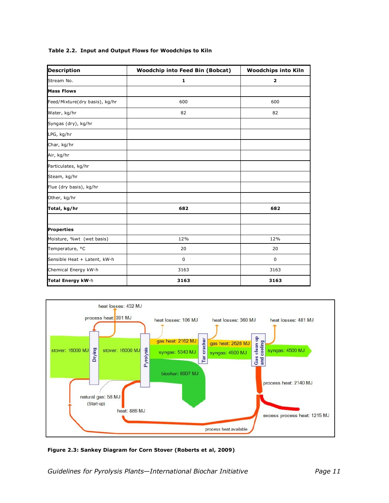| <b>Description</b>             | <b>Woodchip into Feed Bin (Bobcat)</b> | <b>Woodchips into Kiln</b> |
|--------------------------------|----------------------------------------|----------------------------|
| Stream No.                     | 1                                      | $\mathbf{2}$               |
| <b>Mass Flows</b>              |                                        |                            |
| Feed/Mixture(dry basis), kg/hr | 600                                    | 600                        |
| Water, kg/hr                   | 82                                     | 82                         |
| Syngas (dry), kg/hr            |                                        |                            |
| LPG, kg/hr                     |                                        |                            |
| Char, kg/hr                    |                                        |                            |
| Air, kg/hr                     |                                        |                            |
| Particulates, kg/hr            |                                        |                            |
| Steam, kg/hr                   |                                        |                            |
| Flue (dry basis), kg/hr        |                                        |                            |
| Other, kg/hr                   |                                        |                            |
| Total, kg/hr                   | 682                                    | 682                        |
| <b>Properties</b>              |                                        |                            |
| Moisture, %wt (wet basis)      | 12%                                    | 12%                        |
| Temperature, °C                | 20                                     | 20                         |
| Sensible Heat + Latent, kW-h   | $\mathbf 0$                            | $\mathbf 0$                |
| Chemical Energy kW-h           | 3163                                   | 3163                       |
| Total Energy kW-h              | 3163                                   | 3163                       |

#### **Table 2.2. Input and Output Flows for Woodchips to Kiln**



**Figure 2.3: Sankey Diagram for Corn Stover (Roberts et al, 2009)**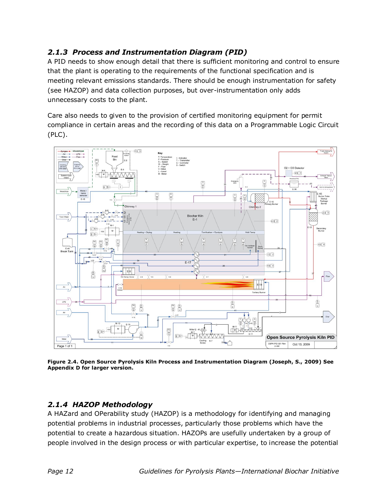# *2.1.3 Process and Instrumentation Diagram (PID)*

A PID needs to show enough detail that there is sufficient monitoring and control to ensure that the plant is operating to the requirements of the functional specification and is meeting relevant emissions standards. There should be enough instrumentation for safety (see HAZOP) and data collection purposes, but over-instrumentation only adds unnecessary costs to the plant.

Care also needs to given to the provision of certified monitoring equipment for permit compliance in certain areas and the recording of this data on a Programmable Logic Circuit (PLC).



**Figure 2.4. Open Source Pyrolysis Kiln Process and Instrumentation Diagram (Joseph, S., 2009) See Appendix D for larger version.**

# *2.1.4 HAZOP Methodology*

A HAZard and OPerability study (HAZOP) is a methodology for identifying and managing potential problems in industrial processes, particularly those problems which have the potential to create a hazardous situation. HAZOPs are usefully undertaken by a group of people involved in the design process or with particular expertise, to increase the potential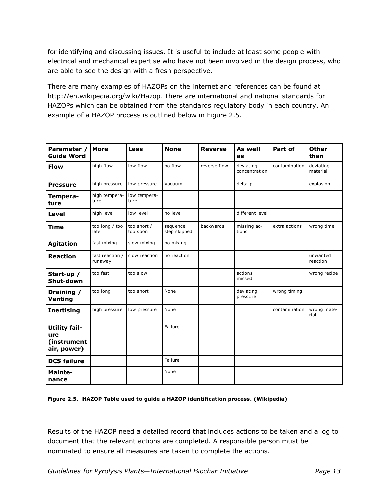for identifying and discussing issues. It is useful to include at least some people with electrical and mechanical expertise who have not been involved in the design process, who are able to see the design with a fresh perspective.

There are many examples of HAZOPs on the internet and references can be found at http://en.wikipedia.org/wiki/Hazop. There are international and national standards for HAZOPs which can be obtained from the standards regulatory body in each country. An example of a HAZOP process is outlined below in Figure 2.5.

| Parameter /<br><b>Guide Word</b>                          | <b>More</b>                | <b>Less</b>             | <b>None</b>              | <b>Reverse</b> | As well<br>as              | Part of       | <b>Other</b><br>than  |
|-----------------------------------------------------------|----------------------------|-------------------------|--------------------------|----------------|----------------------------|---------------|-----------------------|
| <b>Flow</b>                                               | high flow                  | low flow                | no flow                  | reverse flow   | deviating<br>concentration | contamination | deviating<br>material |
| <b>Pressure</b>                                           | high pressure              | low pressure            | Vacuum                   |                | delta-p                    |               | explosion             |
| Tempera-<br>ture                                          | high tempera-<br>ture      | low tempera-<br>ture    |                          |                |                            |               |                       |
| Level                                                     | high level                 | low level               | no level                 |                | different level            |               |                       |
| <b>Time</b>                                               | too long / too<br>late     | too short /<br>too soon | sequence<br>step skipped | backwards      | missing ac-<br>tions       | extra actions | wrong time            |
| <b>Agitation</b>                                          | fast mixing                | slow mixing             | no mixing                |                |                            |               |                       |
| <b>Reaction</b>                                           | fast reaction /<br>runaway | slow reaction           | no reaction              |                |                            |               | unwanted<br>reaction  |
| Start-up /<br>Shut-down                                   | too fast                   | too slow                |                          |                | actions<br>missed          |               | wrong recipe          |
| Draining /<br>Venting                                     | too long                   | too short               | None                     |                | deviating<br>pressure      | wrong timing  |                       |
| <b>Inertising</b>                                         | high pressure              | low pressure            | None                     |                |                            | contamination | wrong mate-<br>rial   |
| <b>Utility fail-</b><br>ure<br>(instrument<br>air, power) |                            |                         | Failure                  |                |                            |               |                       |
| <b>DCS failure</b>                                        |                            |                         | Failure                  |                |                            |               |                       |
| Mainte-<br>nance                                          |                            |                         | None                     |                |                            |               |                       |

#### **Figure 2.5. HAZOP Table used to guide a HAZOP identification process. (Wikipedia)**

Results of the HAZOP need a detailed record that includes actions to be taken and a log to document that the relevant actions are completed. A responsible person must be nominated to ensure all measures are taken to complete the actions.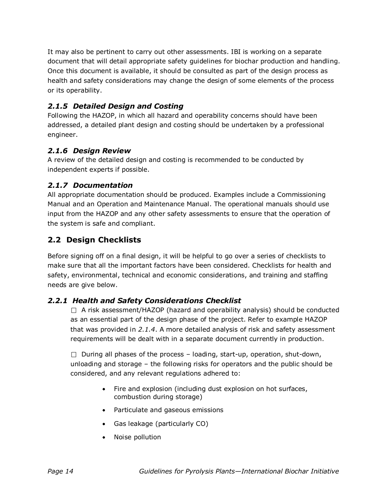It may also be pertinent to carry out other assessments. IBI is working on a separate document that will detail appropriate safety guidelines for biochar production and handling. Once this document is available, it should be consulted as part of the design process as health and safety considerations may change the design of some elements of the process or its operability.

#### *2.1.5 Detailed Design and Costing*

Following the HAZOP, in which all hazard and operability concerns should have been addressed, a detailed plant design and costing should be undertaken by a professional engineer.

#### *2.1.6 Design Review*

A review of the detailed design and costing is recommended to be conducted by independent experts if possible.

#### *2.1.7 Documentation*

All appropriate documentation should be produced. Examples include a Commissioning Manual and an Operation and Maintenance Manual. The operational manuals should use input from the HAZOP and any other safety assessments to ensure that the operation of the system is safe and compliant.

#### **2.2 Design Checklists**

Before signing off on a final design, it will be helpful to go over a series of checklists to make sure that all the important factors have been considered. Checklists for health and safety, environmental, technical and economic considerations, and training and staffing needs are give below.

#### *2.2.1 Health and Safety Considerations Checklist*

 $\Box$  A risk assessment/HAZOP (hazard and operability analysis) should be conducted as an essential part of the design phase of the project. Refer to example HAZOP that was provided in *2.1.4*. A more detailed analysis of risk and safety assessment requirements will be dealt with in a separate document currently in production.

 $\Box$  During all phases of the process – loading, start-up, operation, shut-down, unloading and storage – the following risks for operators and the public should be considered, and any relevant regulations adhered to:

- Fire and explosion (including dust explosion on hot surfaces, combustion during storage)
- Particulate and gaseous emissions
- Gas leakage (particularly CO)
- Noise pollution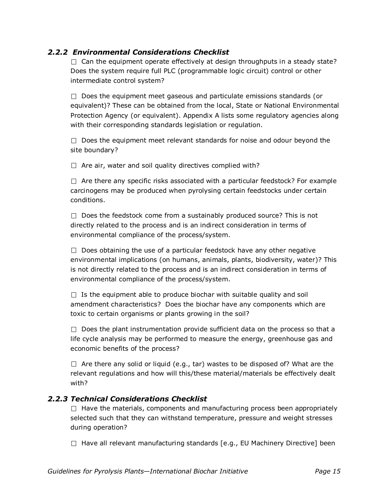### *2.2.2 Environmental Considerations Checklist*

 $\Box$  Can the equipment operate effectively at design throughputs in a steady state? Does the system require full PLC (programmable logic circuit) control or other intermediate control system?

 $\Box$  Does the equipment meet gaseous and particulate emissions standards (or equivalent)? These can be obtained from the local, State or National Environmental Protection Agency (or equivalent). Appendix A lists some regulatory agencies along with their corresponding standards legislation or regulation.

 $\Box$  Does the equipment meet relevant standards for noise and odour beyond the site boundary?

 $\Box$  Are air, water and soil quality directives complied with?

 $\Box$  Are there any specific risks associated with a particular feedstock? For example carcinogens may be produced when pyrolysing certain feedstocks under certain conditions.

 $\Box$  Does the feedstock come from a sustainably produced source? This is not directly related to the process and is an indirect consideration in terms of environmental compliance of the process/system.

 $\Box$  Does obtaining the use of a particular feedstock have any other negative environmental implications (on humans, animals, plants, biodiversity, water)? This is not directly related to the process and is an indirect consideration in terms of environmental compliance of the process/system.

 $\Box$  Is the equipment able to produce biochar with suitable quality and soil amendment characteristics? Does the biochar have any components which are toxic to certain organisms or plants growing in the soil?

 $\Box$  Does the plant instrumentation provide sufficient data on the process so that a life cycle analysis may be performed to measure the energy, greenhouse gas and economic benefits of the process?

 $\Box$  Are there any solid or liquid (e.g., tar) wastes to be disposed of? What are the relevant regulations and how will this/these material/materials be effectively dealt with?

#### *2.2.3 Technical Considerations Checklist*

 $\Box$  Have the materials, components and manufacturing process been appropriately selected such that they can withstand temperature, pressure and weight stresses during operation?

 $\Box$  Have all relevant manufacturing standards [e.g., EU Machinery Directive] been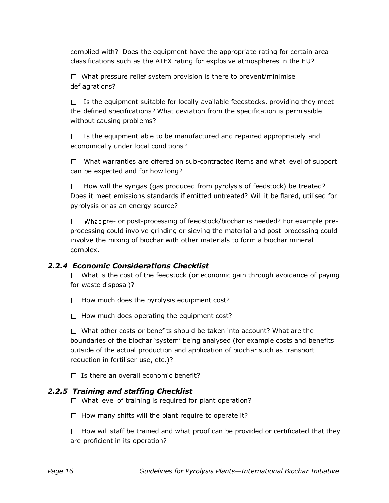complied with? Does the equipment have the appropriate rating for certain area classifications such as the ATEX rating for explosive atmospheres in the EU?

 $\Box$  What pressure relief system provision is there to prevent/minimise deflagrations?

 $\Box$  Is the equipment suitable for locally available feedstocks, providing they meet the defined specifications? What deviation from the specification is permissible without causing problems?

 $\Box$  Is the equipment able to be manufactured and repaired appropriately and economically under local conditions?

 $\Box$  What warranties are offered on sub-contracted items and what level of support can be expected and for how long?

 $\Box$  How will the syngas (gas produced from pyrolysis of feedstock) be treated? Does it meet emissions standards if emitted untreated? Will it be flared, utilised for pyrolysis or as an energy source?

 $\Box$  What pre- or post-processing of feedstock/biochar is needed? For example preprocessing could involve grinding or sieving the material and post-processing could involve the mixing of biochar with other materials to form a biochar mineral complex.

#### *2.2.4 Economic Considerations Checklist*

 $\Box$  What is the cost of the feedstock (or economic gain through avoidance of paying for waste disposal)?

- $\Box$  How much does the pyrolysis equipment cost?
- $\Box$  How much does operating the equipment cost?

 $\Box$  What other costs or benefits should be taken into account? What are the boundaries of the biochar 'system' being analysed (for example costs and benefits outside of the actual production and application of biochar such as transport reduction in fertiliser use, etc.)?

 $\Box$  Is there an overall economic benefit?

#### *2.2.5 Training and staffing Checklist*

- $\Box$  What level of training is required for plant operation?
- $\Box$  How many shifts will the plant require to operate it?

 $\Box$  How will staff be trained and what proof can be provided or certificated that they are proficient in its operation?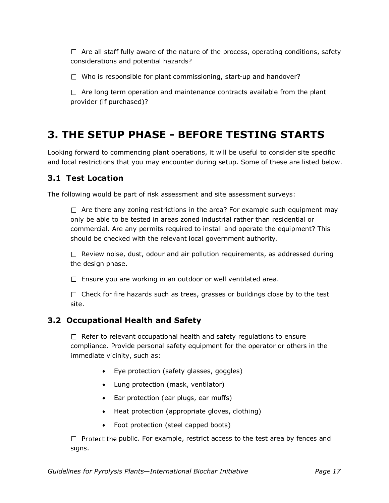$\Box$  Are all staff fully aware of the nature of the process, operating conditions, safety considerations and potential hazards?

 $\Box$  Who is responsible for plant commissioning, start-up and handover?

 $\Box$  Are long term operation and maintenance contracts available from the plant provider (if purchased)?

# **3. THE SETUP PHASE - BEFORE TESTING STARTS**

Looking forward to commencing plant operations, it will be useful to consider site specific and local restrictions that you may encounter during setup. Some of these are listed below.

# **3.1 Test Location**

The following would be part of risk assessment and site assessment surveys:

 $\Box$  Are there any zoning restrictions in the area? For example such equipment may only be able to be tested in areas zoned industrial rather than residential or commercial. Are any permits required to install and operate the equipment? This should be checked with the relevant local government authority.

 $\Box$  Review noise, dust, odour and air pollution requirements, as addressed during the design phase.

 $\Box$  Ensure you are working in an outdoor or well ventilated area.

 $\Box$  Check for fire hazards such as trees, grasses or buildings close by to the test site.

# **3.2 Occupational Health and Safety**

 $\Box$  Refer to relevant occupational health and safety regulations to ensure compliance. Provide personal safety equipment for the operator or others in the immediate vicinity, such as:

- Eye protection (safety glasses, goggles)
- Lung protection (mask, ventilator)
- Ear protection (ear plugs, ear muffs)
- Heat protection (appropriate gloves, clothing)
- Foot protection (steel capped boots)

 $\Box$  Protect the public. For example, restrict access to the test area by fences and signs.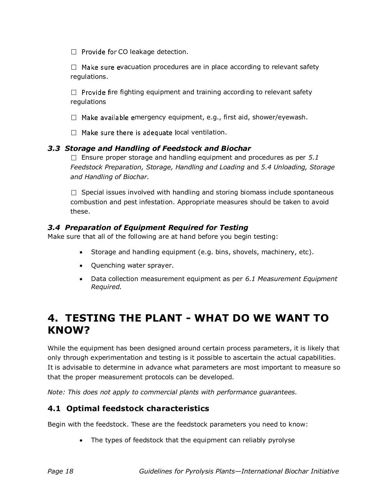$\Box$  Provide for CO leakage detection.

 $\Box$  Make sure evacuation procedures are in place according to relevant safety regulations.

 $\Box$  Provide fire fighting equipment and training according to relevant safety regulations

 $\Box$  Make available emergency equipment, e.g., first aid, shower/eyewash.

 $\Box$  Make sure there is adequate local ventilation.

#### *3.3 Storage and Handling of Feedstock and Biochar*

 $\Box$  Ensure proper storage and handling equipment and procedures as per 5.1 *Feedstock Preparation, Storage, Handling and Loading* and *5.4 Unloading, Storage and Handling of Biochar.*

 $\Box$  Special issues involved with handling and storing biomass include spontaneous combustion and pest infestation. Appropriate measures should be taken to avoid these.

#### *3.4 Preparation of Equipment Required for Testing*

Make sure that all of the following are at hand before you begin testing:

- Storage and handling equipment (e.g. bins, shovels, machinery, etc).
- Quenching water sprayer.
- Data collection measurement equipment as per *6.1 Measurement Equipment Required.*

# **4. TESTING THE PLANT - WHAT DO WE WANT TO KNOW?**

While the equipment has been designed around certain process parameters, it is likely that only through experimentation and testing is it possible to ascertain the actual capabilities. It is advisable to determine in advance what parameters are most important to measure so that the proper measurement protocols can be developed.

*Note: This does not apply to commercial plants with performance guarantees.* 

# **4.1 Optimal feedstock characteristics**

Begin with the feedstock. These are the feedstock parameters you need to know:

• The types of feedstock that the equipment can reliably pyrolyse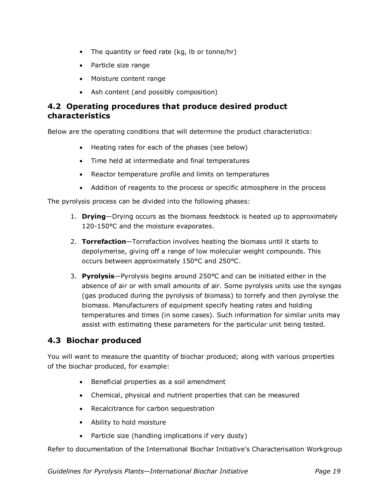- The quantity or feed rate (kg, lb or tonne/hr)
- Particle size range
- Moisture content range
- Ash content (and possibly composition)

# **4.2 Operating procedures that produce desired product characteristics**

Below are the operating conditions that will determine the product characteristics:

- Heating rates for each of the phases (see below)
- Time held at intermediate and final temperatures
- Reactor temperature profile and limits on temperatures
- Addition of reagents to the process or specific atmosphere in the process

The pyrolysis process can be divided into the following phases:

- 1. **Drying**—Drying occurs as the biomass feedstock is heated up to approximately 120-150°C and the moisture evaporates.
- 2. **Torrefaction**—Torrefaction involves heating the biomass until it starts to depolymerise, giving off a range of low molecular weight compounds. This occurs between approximately 150°C and 250°C.
- 3. **Pyrolysis**—Pyrolysis begins around 250°C and can be initiated either in the absence of air or with small amounts of air. Some pyrolysis units use the syngas (gas produced during the pyrolysis of biomass) to torrefy and then pyrolyse the biomass. Manufacturers of equipment specify heating rates and holding temperatures and times (in some cases). Such information for similar units may assist with estimating these parameters for the particular unit being tested.

# **4.3 Biochar produced**

You will want to measure the quantity of biochar produced; along with various properties of the biochar produced, for example:

- Beneficial properties as a soil amendment
- Chemical, physical and nutrient properties that can be measured
- Recalcitrance for carbon sequestration
- Ability to hold moisture
- Particle size (handling implications if very dusty)

Refer to documentation of the International Biochar Initiative's Characterisation Workgroup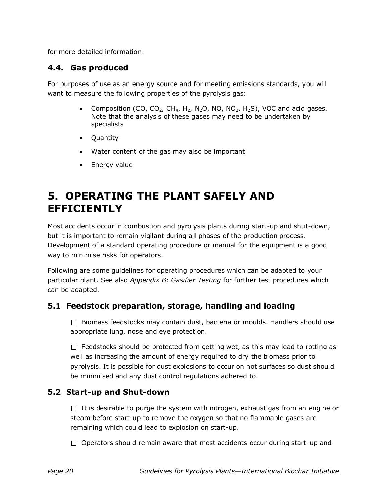for more detailed information.

### **4.4. Gas produced**

For purposes of use as an energy source and for meeting emissions standards, you will want to measure the following properties of the pyrolysis gas:

- Composition (CO, CO<sub>2</sub>, CH<sub>4</sub>, H<sub>2</sub>, N<sub>2</sub>O, NO, NO<sub>2</sub>, H<sub>2</sub>S), VOC and acid gases. Note that the analysis of these gases may need to be undertaken by specialists
- Quantity
- Water content of the gas may also be important
- Energy value

# **5. OPERATING THE PLANT SAFELY AND EFFICIENTLY**

Most accidents occur in combustion and pyrolysis plants during start-up and shut-down, but it is important to remain vigilant during all phases of the production process. Development of a standard operating procedure or manual for the equipment is a good way to minimise risks for operators.

Following are some guidelines for operating procedures which can be adapted to your particular plant. See also *Appendix B: Gasifier Testing* for further test procedures which can be adapted.

# **5.1 Feedstock preparation, storage, handling and loading**

 $\Box$  Biomass feedstocks may contain dust, bacteria or moulds. Handlers should use appropriate lung, nose and eye protection.

 $\Box$  Feedstocks should be protected from getting wet, as this may lead to rotting as well as increasing the amount of energy required to dry the biomass prior to pyrolysis. It is possible for dust explosions to occur on hot surfaces so dust should be minimised and any dust control regulations adhered to.

#### **5.2 Start-up and Shut-down**

 $\Box$  It is desirable to purge the system with nitrogen, exhaust gas from an engine or steam before start-up to remove the oxygen so that no flammable gases are remaining which could lead to explosion on start-up.

 $\Box$  Operators should remain aware that most accidents occur during start-up and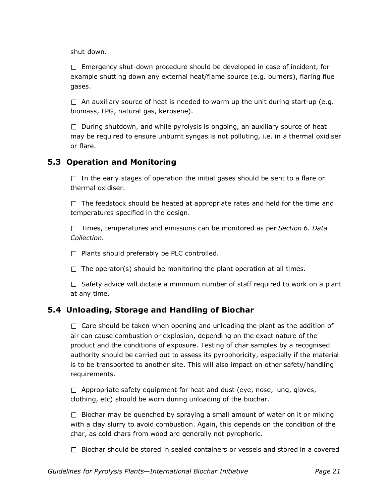shut-down.

 $\Box$  Emergency shut-down procedure should be developed in case of incident, for example shutting down any external heat/flame source (e.g. burners), flaring flue gases.

 $\Box$  An auxiliary source of heat is needed to warm up the unit during start-up (e.g. biomass, LPG, natural gas, kerosene).

 $\Box$  During shutdown, and while pyrolysis is ongoing, an auxiliary source of heat may be required to ensure unburnt syngas is not polluting, i.e. in a thermal oxidiser or flare.

### **5.3 Operation and Monitoring**

 $\Box$  In the early stages of operation the initial gases should be sent to a flare or thermal oxidiser.

 $\Box$  The feedstock should be heated at appropriate rates and held for the time and temperatures specified in the design.

Times, temperatures and emissions can be monitored as per *Section 6. Data Collection.*

 $\Box$  Plants should preferably be PLC controlled.

 $\Box$  The operator(s) should be monitoring the plant operation at all times.

 $\Box$  Safety advice will dictate a minimum number of staff required to work on a plant at any time.

# **5.4 Unloading, Storage and Handling of Biochar**

 $\Box$  Care should be taken when opening and unloading the plant as the addition of air can cause combustion or explosion, depending on the exact nature of the product and the conditions of exposure. Testing of char samples by a recognised authority should be carried out to assess its pyrophoricity, especially if the material is to be transported to another site. This will also impact on other safety/handling requirements.

 $\Box$  Appropriate safety equipment for heat and dust (eye, nose, lung, gloves, clothing, etc) should be worn during unloading of the biochar.

 $\Box$  Biochar may be quenched by spraying a small amount of water on it or mixing with a clay slurry to avoid combustion. Again, this depends on the condition of the char, as cold chars from wood are generally not pyrophoric.

 $\Box$  Biochar should be stored in sealed containers or vessels and stored in a covered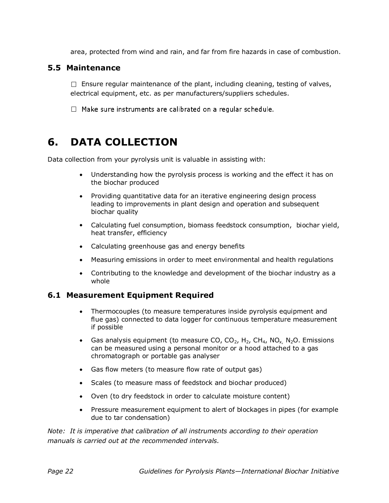area, protected from wind and rain, and far from fire hazards in case of combustion.

#### **5.5 Maintenance**

 $\Box$  Ensure regular maintenance of the plant, including cleaning, testing of valves, electrical equipment, etc. as per manufacturers/suppliers schedules.

 $\Box$  Make sure instruments are calibrated on a regular schedule.

# **6. DATA COLLECTION**

Data collection from your pyrolysis unit is valuable in assisting with:

- Understanding how the pyrolysis process is working and the effect it has on the biochar produced
- Providing quantitative data for an iterative engineering design process leading to improvements in plant design and operation and subsequent biochar quality
- Calculating fuel consumption, biomass feedstock consumption, biochar yield, heat transfer, efficiency
- Calculating greenhouse gas and energy benefits
- Measuring emissions in order to meet environmental and health regulations
- Contributing to the knowledge and development of the biochar industry as a whole

#### **6.1 Measurement Equipment Required**

- Thermocouples (to measure temperatures inside pyrolysis equipment and flue gas) connected to data logger for continuous temperature measurement if possible
- Gas analysis equipment (to measure CO,  $CO_2$ , H<sub>2</sub>, CH<sub>4</sub>, NO<sub>x,</sub> N<sub>2</sub>O. Emissions can be measured using a personal monitor or a hood attached to a gas chromatograph or portable gas analyser
- Gas flow meters (to measure flow rate of output gas)
- Scales (to measure mass of feedstock and biochar produced)
- Oven (to dry feedstock in order to calculate moisture content)
- Pressure measurement equipment to alert of blockages in pipes (for example due to tar condensation)

*Note: It is imperative that calibration of all instruments according to their operation manuals is carried out at the recommended intervals.*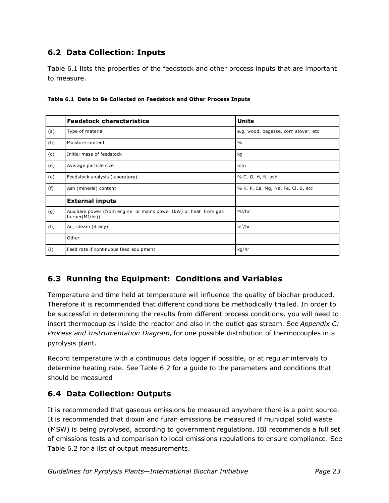# **6.2 Data Collection: Inputs**

Table 6.1 lists the properties of the feedstock and other process inputs that are important to measure.

|     | <b>Feedstock characteristics</b>                                                    | <b>Units</b>                         |
|-----|-------------------------------------------------------------------------------------|--------------------------------------|
| (a) | Type of material                                                                    | e.g. wood, bagasse, corn stover, etc |
| (b) | Moisture content                                                                    | $\frac{0}{0}$                        |
| (c) | Initial mass of feedstock                                                           | kg                                   |
| (d) | Average particle size                                                               | mm                                   |
| (e) | Feedstock analysis (laboratory)                                                     | % C, O, H, N, ash                    |
| (f) | Ash (mineral) content                                                               | % K, P, Ca, Mg, Na, Fe, Cl, S, etc   |
|     | <b>External inputs</b>                                                              |                                      |
| (g) | Auxiliary power (from engine or mains power (kW) or heat from gas<br>burner(MJ/hr)) | MJ/hr                                |
| (h) | Air, steam (if any)                                                                 | $m^3/hr$                             |
|     | Other                                                                               |                                      |
| (i) | Feed rate if continuous feed equipment                                              | kg/hr                                |

**Table 6.1 Data to Be Collected on Feedstock and Other Process Inputs**

# **6.3 Running the Equipment: Conditions and Variables**

Temperature and time held at temperature will influence the quality of biochar produced. Therefore it is recommended that different conditions be methodically trialled. In order to be successful in determining the results from different process conditions, you will need to insert thermocouples inside the reactor and also in the outlet gas stream. See *Appendix C: Process and Instrumentation Diagram*, for one possible distribution of thermocouples in a pyrolysis plant.

Record temperature with a continuous data logger if possible, or at regular intervals to determine heating rate. See Table 6.2 for a guide to the parameters and conditions that should be measured

# **6.4 Data Collection: Outputs**

It is recommended that gaseous emissions be measured anywhere there is a point source. It is recommended that dioxin and furan emissions be measured if municipal solid waste (MSW) is being pyrolysed, according to government regulations. IBI recommends a full set of emissions tests and comparison to local emissions regulations to ensure compliance. See Table 6.2 for a list of output measurements.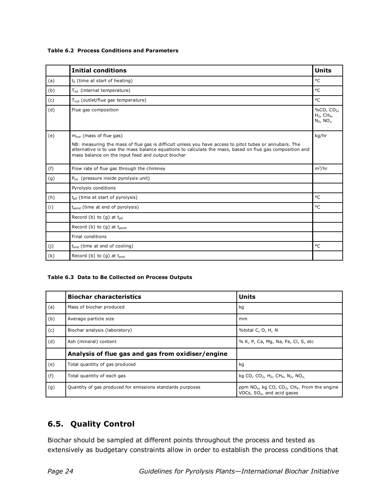#### **Table 6.2 Process Conditions and Parameters**

|     | <b>Initial conditions</b>                                                                                                                                                                                                                                  | <b>Units</b>                                                |
|-----|------------------------------------------------------------------------------------------------------------------------------------------------------------------------------------------------------------------------------------------------------------|-------------------------------------------------------------|
| (a) | $t_0$ (time at start of heating)                                                                                                                                                                                                                           | °C                                                          |
| (b) | T <sub>int</sub> (internal temperature)                                                                                                                                                                                                                    | °C                                                          |
| (c) | $T_{\text{out}}$ (outlet/flue gas temperature)                                                                                                                                                                                                             | °C                                                          |
| (d) | Flue gas composition                                                                                                                                                                                                                                       | %CO, $CO2$ ,<br>$H_2$ , CH <sub>4</sub> ,<br>$N_2$ , $NO_x$ |
| (e) | $m_{\text{out}}$ (mass of flue gas)<br>NB: measuring the mass of flue gas is difficult unless you have access to pitot tubes or annubars. The<br>alternative is to use the mass balance equations to calculate the mass, based on flue gas composition and | kg/hr                                                       |
|     | mass balance on the input feed and output biochar                                                                                                                                                                                                          |                                                             |
| (f) | Flow rate of flue gas through the chimney                                                                                                                                                                                                                  | $m^3/hr$                                                    |
| (g) | P <sub>int</sub> (pressure inside pyrolysis unit)                                                                                                                                                                                                          |                                                             |
|     | Pyrolysis conditions                                                                                                                                                                                                                                       |                                                             |
| (h) | $t_{00}$ (time at start of pyrolysis)                                                                                                                                                                                                                      | °C                                                          |
| (i) | $t_{\text{nend}}$ (time at end of pyrolysis)                                                                                                                                                                                                               | °C                                                          |
|     | Record (b) to (g) at $t_{n0}$                                                                                                                                                                                                                              |                                                             |
|     | Record (b) to (g) at t <sub>pend</sub>                                                                                                                                                                                                                     |                                                             |
|     | Final conditions                                                                                                                                                                                                                                           |                                                             |
| (j) | t <sub>end</sub> (time at end of cooling)                                                                                                                                                                                                                  | °C                                                          |
| (k) | Record (b) to $(q)$ at t <sub>end</sub>                                                                                                                                                                                                                    |                                                             |

#### **Table 6.3 Data to Be Collected on Process Outputs**

|     | <b>Biochar characteristics</b>                            | <b>Units</b>                                                                                                      |
|-----|-----------------------------------------------------------|-------------------------------------------------------------------------------------------------------------------|
| (a) | Mass of biochar produced                                  | kg                                                                                                                |
| (b) | Average particle size                                     | mm                                                                                                                |
| (c) | Biochar analysis (laboratory)                             | %total C, O, H, N                                                                                                 |
| (d) | Ash (mineral) content                                     | % K, P, Ca, Mg, Na, Fe, Cl, S, etc                                                                                |
|     | Analysis of flue gas and gas from oxidiser/engine         |                                                                                                                   |
| (e) | Total quantity of gas produced                            | kq                                                                                                                |
| (f) | Total quantity of each gas                                | kg CO, CO <sub>2</sub> , H <sub>2</sub> , CH <sub>4</sub> , N <sub>2</sub> , NO <sub>x</sub>                      |
| (g) | Quantity of gas produced for emissions standards purposes | ppm $NO_x$ , kg CO, CO <sub>2</sub> , CH <sub>4</sub> . From the engine<br>VOCs, SO <sub>x</sub> , and acid gases |

# **6.5. Quality Control**

Biochar should be sampled at different points throughout the process and tested as extensively as budgetary constraints allow in order to establish the process conditions that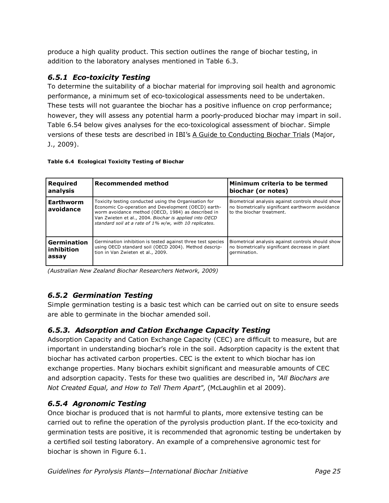produce a high quality product. This section outlines the range of biochar testing, in addition to the laboratory analyses mentioned in Table 6.3.

### *6.5.1 Eco-toxicity Testing*

To determine the suitability of a biochar material for improving soil health and agronomic performance, a minimum set of eco-toxicological assessments need to be undertaken. These tests will not guarantee the biochar has a positive influence on crop performance; however, they will assess any potential harm a poorly-produced biochar may impart in soil. Table 6.54 below gives analyses for the eco-toxicological assessment of biochar. Simple versions of these tests are described in IBI's A Guide to Conducting Biochar Trials (Major, J., 2009).

#### **Table 6.4 Ecological Toxicity Testing of Biochar**

| <b>Required</b><br>lanalysis           | <b>Recommended method</b>                                                                                                                                                                                                                                                              | Minimum criteria to be termed<br>biochar (or notes)                                                                                |
|----------------------------------------|----------------------------------------------------------------------------------------------------------------------------------------------------------------------------------------------------------------------------------------------------------------------------------------|------------------------------------------------------------------------------------------------------------------------------------|
| <b>Earthworm</b><br><b>lavoidance</b>  | Toxicity testing conducted using the Organisation for<br>Economic Co-operation and Development (OECD) earth-<br>worm avoidance method (OECD, 1984) as described in<br>Van Zwieten et al., 2004. Biochar is applied into OECD<br>standard soil at a rate of 1% w/w, with 10 replicates. | Biometrical analysis against controls should show<br>no biometrically significant earthworm avoidance<br>to the biochar treatment. |
| l Germination<br>l inhibition<br>assay | Germination inhibition is tested against three test species<br>using OECD standard soil (OECD 2004). Method descrip-<br>tion in Van Zwieten et al., 2009.                                                                                                                              | Biometrical analysis against controls should show<br>no biometrically significant decrease in plant<br>germination.                |

*(Australian New Zealand Biochar Researchers Network, 2009)*

#### *6.5.2 Germination Testing*

Simple germination testing is a basic test which can be carried out on site to ensure seeds are able to germinate in the biochar amended soil.

#### *6.5.3. Adsorption and Cation Exchange Capacity Testing*

Adsorption Capacity and Cation Exchange Capacity (CEC) are difficult to measure, but are important in understanding biochar's role in the soil. Adsorption capacity is the extent that biochar has activated carbon properties. CEC is the extent to which biochar has ion exchange properties. Many biochars exhibit significant and measurable amounts of CEC and adsorption capacity. Tests for these two qualities are described in, "*All Biochars are Not Created Equal, and How to Tell Them Apart",* (McLaughlin et al 2009).

#### *6.5.4 Agronomic Testing*

Once biochar is produced that is not harmful to plants, more extensive testing can be carried out to refine the operation of the pyrolysis production plant. If the eco-toxicity and germination tests are positive, it is recommended that agronomic testing be undertaken by a certified soil testing laboratory. An example of a comprehensive agronomic test for biochar is shown in Figure 6.1.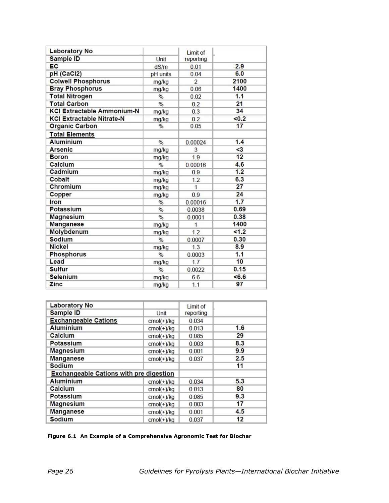| <b>Laboratory No</b>              |               | <b>Limit of</b>         |       |
|-----------------------------------|---------------|-------------------------|-------|
| <b>Sample ID</b>                  | Unit          | reporting               |       |
| EC                                | dS/m          | 0.01                    | 2.9   |
| pH (CaCl2)                        | pH units      | 0.04                    | 6.0   |
| <b>Colwell Phosphorus</b>         | mg/kg         | $\overline{\mathbf{c}}$ | 2100  |
| <b>Bray Phosphorus</b>            | mg/kg         | 0.06                    | 1400  |
| <b>Total Nitrogen</b>             | $\frac{9}{6}$ | 0.02                    | 1.1   |
| <b>Total Carbon</b>               | %             | 0.2                     | 21    |
| <b>KCI Extractable Ammonium-N</b> | mg/kg         | 0.3                     | 34    |
| <b>KCI Extractable Nitrate-N</b>  | mg/kg         | 0.2                     | <0.2  |
| <b>Organic Carbon</b>             | $\frac{9}{6}$ | 0.05                    | 17    |
| <b>Total Elements</b>             |               |                         |       |
| <b>Aluminium</b>                  | $\frac{0}{0}$ | 0.00024                 | 1.4   |
| <b>Arsenic</b>                    | mg/kg         | 3                       | $3$   |
| <b>Boron</b>                      | mg/kg         | 1.9                     | 12    |
| Calcium                           | $\frac{0}{0}$ | 0.00016                 | 4.6   |
| Cadmium                           | mg/kg         | 0.9                     | 1.2   |
| Cobalt                            | mg/kg         | 1.2                     | 6.3   |
| Chromium                          | mg/kg         | $\overline{1}$          | 27    |
| Copper                            | mg/kg         | 0.9                     | 24    |
| <b>Iron</b>                       | $\frac{9}{6}$ | 0.00016                 | 1.7   |
| <b>Potassium</b>                  | $\frac{0}{6}$ | 0.0038                  | 0.69  |
| <b>Magnesium</b>                  | %             | 0.0001                  | 0.38  |
| <b>Manganese</b>                  | mg/kg         | 1                       | 1400  |
| Molybdenum                        | mg/kg         | 1.2                     | 1.2   |
| <b>Sodium</b>                     | $\frac{0}{0}$ | 0.0007                  | 0.30  |
| <b>Nickel</b>                     | mg/kg         | 1.3                     | 8.9   |
| <b>Phosphorus</b>                 | $\frac{0}{0}$ | 0.0003                  | 1.1   |
| Lead                              | mg/kg         | 1.7                     | 10    |
| <b>Sulfur</b>                     | $\frac{9}{6}$ | 0.0022                  | 0.15  |
| <b>Selenium</b>                   | mg/kg         | 6.6                     | < 6.6 |
| Zinc                              | mg/kg         | 1.1                     | 97    |

| <b>Laboratory No</b>                           |              | <b>Limit of</b> |     |
|------------------------------------------------|--------------|-----------------|-----|
| <b>Sample ID</b>                               | Unit         | reporting       |     |
| <b>Exchangeable Cations</b>                    | $cmol(+)/kg$ | 0.034           |     |
| <b>Aluminium</b>                               | $cmol(+)/kg$ | 0.013           | 1.6 |
| <b>Calcium</b>                                 | $cmol(+)/kg$ | 0.085           | 29  |
| <b>Potassium</b>                               | $cmol(+)/kg$ | 0.003           | 8.3 |
| <b>Magnesium</b>                               | $cmol(+)/kg$ | 0.001           | 9.9 |
| <b>Manganese</b>                               | $cmol(+)/kg$ | 0.037           | 2.5 |
| <b>Sodium</b>                                  |              |                 | 11  |
| <b>Exchangeable Cations with pre digestion</b> |              |                 |     |
| <b>Aluminium</b>                               | $cmol(+)/kg$ | 0.034           | 5.3 |
| Calcium                                        | $cmol(+)/kg$ | 0.013           | 80  |
| <b>Potassium</b>                               | $cmol(+)/kg$ | 0.085           | 9.3 |
| <b>Magnesium</b>                               | $cmol(+)/kg$ | 0.003           | 17  |
| <b>Manganese</b>                               | $cmol(+)/kg$ | 0.001           | 4.5 |
| <b>Sodium</b>                                  | $cmol(+)/kg$ | 0.037           | 12  |

#### **Figure 6.1 An Example of a Comprehensive Agronomic Test for Biochar**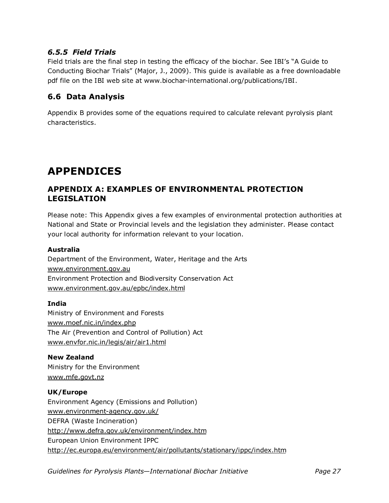# *6.5.5 Field Trials*

Field trials are the final step in testing the efficacy of the biochar. See IBI's "A Guide to Conducting Biochar Trials‖ (Major, J., 2009). This guide is available as a free downloadable pdf file on the IBI web site at www.biochar-international.org/publications/IBI.

# **6.6 Data Analysis**

Appendix B provides some of the equations required to calculate relevant pyrolysis plant characteristics.

# **APPENDICES**

# **APPENDIX A: EXAMPLES OF ENVIRONMENTAL PROTECTION LEGISLATION**

Please note: This Appendix gives a few examples of environmental protection authorities at National and State or Provincial levels and the legislation they administer. Please contact your local authority for information relevant to your location.

#### **Australia**

Department of the Environment, Water, Heritage and the Arts www.environment.gov.au Environment Protection and Biodiversity Conservation Act www.environment.gov.au/epbc/index.html

#### **India**

Ministry of Environment and Forests www.moef.nic.in/index.php The Air (Prevention and Control of Pollution) Act www.envfor.nic.in/legis/air/air1.html

#### **New Zealand** Ministry for the Environment www.mfe.govt.nz

#### **UK/Europe**

Environment Agency (Emissions and Pollution) www.environment-agency.gov.uk/ DEFRA (Waste Incineration) http://www.defra.gov.uk/environment/index.htm European Union Environment IPPC http://ec.europa.eu/environment/air/pollutants/stationary/ippc/index.htm

*Guidelines for Pyrolysis Plants—International Biochar Initiative Page 27*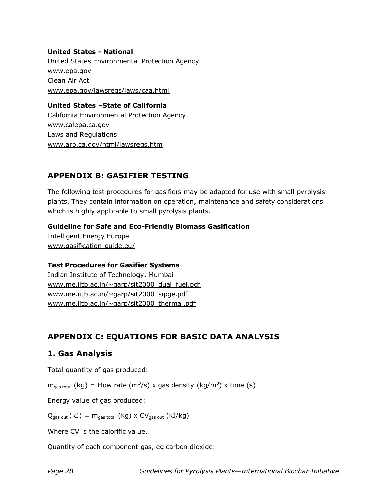#### **United States - National**

United States Environmental Protection Agency www.epa.gov Clean Air Act www.epa.gov/lawsregs/laws/caa.html

#### **United States –State of California**

California Environmental Protection Agency www.calepa.ca.gov Laws and Regulations www.arb.ca.gov/html/lawsregs.htm

# **APPENDIX B: GASIFIER TESTING**

The following test procedures for gasifiers may be adapted for use with small pyrolysis plants. They contain information on operation, maintenance and safety considerations which is highly applicable to small pyrolysis plants.

#### **Guideline for Safe and Eco-Friendly Biomass Gasification**

Intelligent Energy Europe www.gasification-guide.eu/

#### **Test Procedures for Gasifier Systems**

Indian Institute of Technology, Mumbai www.me.iitb.ac.in/~garp/sit2000\_dual\_fuel.pdf www.me.iitb.ac.in/~garp/sit2000\_sipge.pdf www.me.iitb.ac.in/~garp/sit2000\_thermal.pdf

# **APPENDIX C: EQUATIONS FOR BASIC DATA ANALYSIS**

# **1. Gas Analysis**

Total quantity of gas produced:

 $m_{gas\ total}$  (kg) = Flow rate (m<sup>3</sup>/s) x gas density (kg/m<sup>3</sup>) x time (s)

Energy value of gas produced:

 $Q_{\text{gas out}}$  (kJ) =  $m_{\text{gas total}}$  (kg) x  $CV_{\text{gas out}}$  (kJ/kg)

Where CV is the calorific value.

Quantity of each component gas, eg carbon dioxide: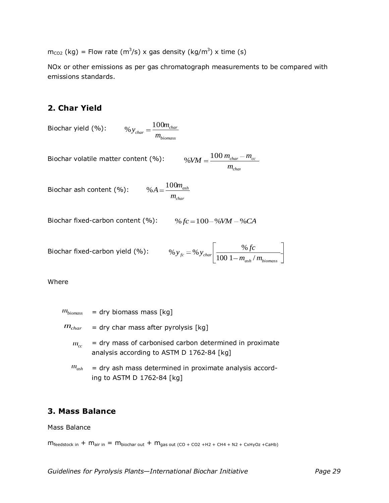$m_{CO2}$  (kg) = Flow rate (m<sup>3</sup>/s) x gas density (kg/m<sup>3</sup>) x time (s)

NOx or other emissions as per gas chromatograph measurements to be compared with emissions standards.

### **2. Char Yield**

Biochar yield (%):

$$
\% y_{char} = \frac{100 m_{char}}{m_{biomass}}
$$

Biochar volatile matter content  $(\%):$  \  $\%$ 

$$
\%VM = \frac{100 \, m_{char} - m_{cc}}{m_{char}}
$$

Biochar ash content (%):

$$
\% A = \frac{100 m_{ash}}{m_{char}}
$$

Biochar fixed-carbon content (%):  $\frac{9}{2}$ 

$$
\%fc = 100 - \%VM - \%CA
$$

Biochar fixed-carbon yield (%): *ash biomass*  $f_c$  – <sup>70</sup>  $y_{char}$   $\boxed{100 \ 1 - m_{ash}/m}$  $y_{fc} = % y_{char} \frac{96 f c}{100}$  $100 \frac{1 - m_{ash}}{m}$ %  $y_{fc} = % y_{char} \frac{96}{1000}$ 

Where

$$
m_{\text{biomass}}
$$
 = dry biomass mass [kg]

- $m_{char}$   $=$  dry char mass after pyrolysis [kg]
	- $m_{cc}$ = dry mass of carbonised carbon determined in proximate analysis according to ASTM D 1762-84 [kg]
	- *mash* = dry ash mass determined in proximate analysis according to ASTM D 1762-84 [kg]

# **3. Mass Balance**

Mass Balance

 $m_{\text{feedback in}} + m_{\text{air in}} = m_{\text{biochar out}} + m_{\text{gas out (CO + CO2 + H2 + CH4 + N2 + CxHyOz + CaHb)}}$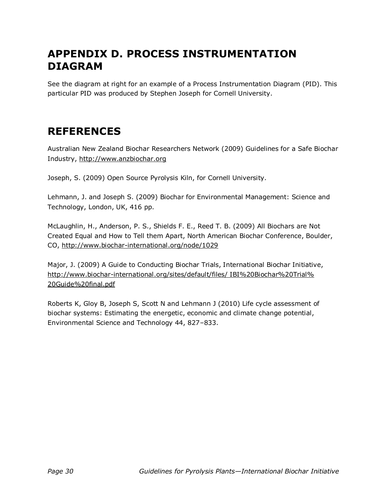# **APPENDIX D. PROCESS INSTRUMENTATION DIAGRAM**

See the diagram at right for an example of a Process Instrumentation Diagram (PID). This particular PID was produced by Stephen Joseph for Cornell University.

# **REFERENCES**

Australian New Zealand Biochar Researchers Network (2009) Guidelines for a Safe Biochar Industry, http://www.anzbiochar.org

Joseph, S. (2009) Open Source Pyrolysis Kiln, for Cornell University.

Lehmann, J. and Joseph S. (2009) Biochar for Environmental Management: Science and Technology, London, UK, 416 pp.

McLaughlin, H., Anderson, P. S., Shields F. E., Reed T. B. (2009) All Biochars are Not Created Equal and How to Tell them Apart, North American Biochar Conference, Boulder, CO, http://www.biochar-international.org/node/1029

Major, J. (2009) A Guide to Conducting Biochar Trials, International Biochar Initiative, http://www.biochar-international.org/sites/default/files/ IBI%20Biochar%20Trial% 20Guide%20final.pdf

Roberts K, Gloy B, Joseph S, Scott N and Lehmann J (2010) Life cycle assessment of biochar systems: Estimating the energetic, economic and climate change potential, Environmental Science and Technology 44, 827–833.